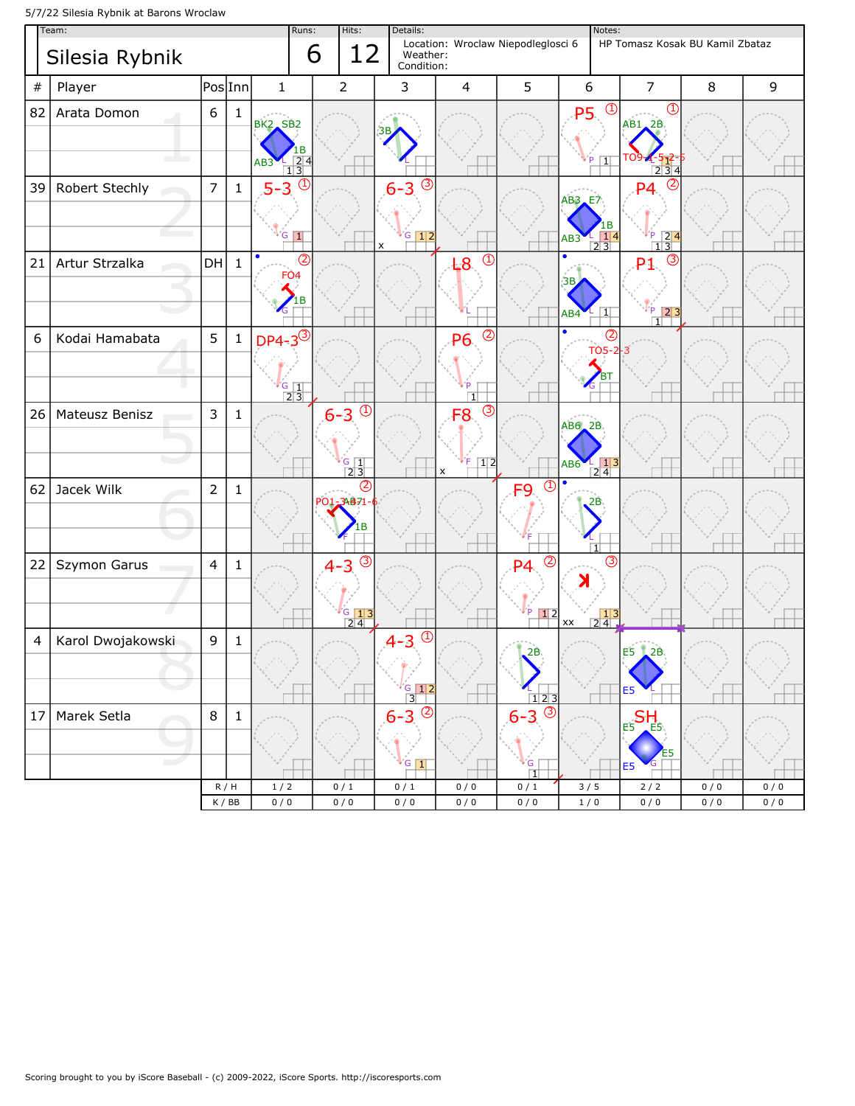5/7/22 Silesia Rybnik at Barons Wroclaw

| HP Tomasz Kosak BU Kamil Zbataz<br>$\,8\,$ | $\mathsf 9$ |
|--------------------------------------------|-------------|
|                                            |             |
|                                            |             |
|                                            |             |
|                                            |             |
|                                            |             |
|                                            |             |
|                                            |             |
|                                            |             |
|                                            |             |
|                                            |             |
|                                            |             |
|                                            | 0/0<br>0/0  |
|                                            | 0/0<br>0/0  |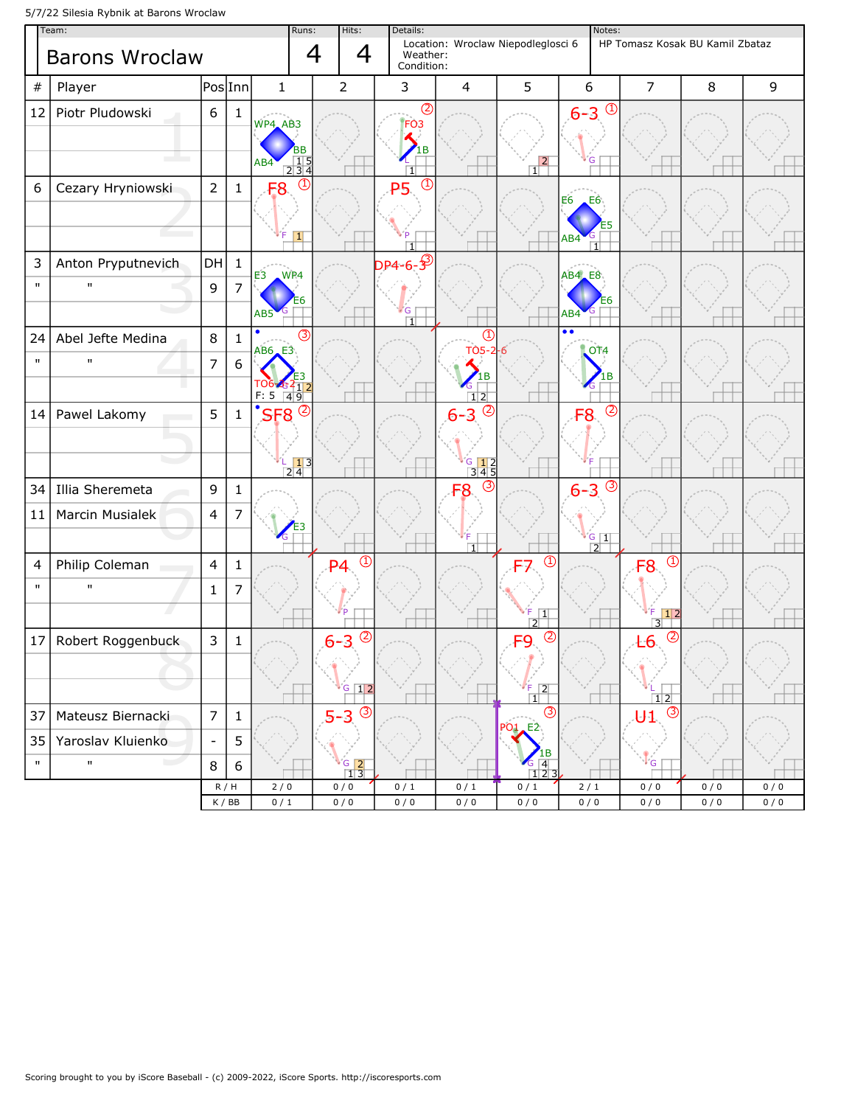5/7/22 Silesia Rybnik at Barons Wroclaw

| Team:                      |                    |                          |                                    | Runs:                                                            | Hits:                    | Details:                                                                                             | Notes:                                                                                        |                                        |                                                 |                     |            |            |
|----------------------------|--------------------|--------------------------|------------------------------------|------------------------------------------------------------------|--------------------------|------------------------------------------------------------------------------------------------------|-----------------------------------------------------------------------------------------------|----------------------------------------|-------------------------------------------------|---------------------|------------|------------|
| 4<br><b>Barons Wroclaw</b> |                    |                          |                                    |                                                                  |                          | Location: Wroclaw Niepodleglosci 6<br>HP Tomasz Kosak BU Kamil Zbataz<br>4<br>Weather:<br>Condition: |                                                                                               |                                        |                                                 |                     |            |            |
| #                          | Player             | Pos Inn                  |                                    | $\mathbf{1}$                                                     | $\overline{2}$           | 3                                                                                                    | $\overline{4}$                                                                                | 5                                      | 6                                               | $\overline{7}$      | 8          | 9          |
| 12                         | Piotr Pludowski    | 6                        | $\mathbf{1}$                       | WP4_AB3<br>вв<br>$\begin{array}{r} 15 \\ 234 \end{array}$<br>AB4 |                          | $\circledS$<br>FO <sub>3</sub><br>1B<br>$\overline{1}$                                               |                                                                                               | $\overline{2}$<br>11                   | $\bigcirc$<br>$6 - 3$<br>G                      |                     |            |            |
| 6                          | Cezary Hryniowski  | $\overline{2}$           | $\mathbf{1}$                       | $\left( 1\right)$<br>F <sub>8</sub><br>$\vert$ 1                 |                          | $\bigcirc$<br><b>P5</b><br>$\overline{11}$                                                           |                                                                                               |                                        | E6<br>E6<br>AB4                                 |                     |            |            |
| 3                          | Anton Pryputnevich | DH                       | $\mathbf{1}$                       | WP4                                                              |                          | $DP4 - 6 - 3^3$                                                                                      |                                                                                               |                                        | $AB4$ <sub><math>E8</math></sub>                |                     |            |            |
| $\mathbf{u}$               | п                  | $\mathsf 9$              | $\overline{7}$                     | E3<br>AB <sub>5</sub>                                            |                          | G<br>$\overline{1}$                                                                                  |                                                                                               |                                        | AB4                                             |                     |            |            |
| 24                         | Abel Jefte Medina  | 8                        | $\mathbf{1}$                       | (3)<br>$AB6$ <sub><math>E3</math></sub>                          |                          |                                                                                                      | $\mathbb{C}$<br>TO5-2                                                                         |                                        | $\overline{\bullet \bullet}$<br>OT <sub>4</sub> |                     |            |            |
| $\mathbf{H}$               | $\mathbf{H}$       | $\overline{7}$           | 6                                  | l 06-454 <sub>112</sub><br>$F: 5 \ 49$                           |                          |                                                                                                      | 1В<br>$1\overline{2}$                                                                         |                                        |                                                 |                     |            |            |
| 14                         | Pawel Lakomy       | 5                        | $\mathbf{1}$                       | $\circled{c}$<br>SF <sub>8</sub>                                 |                          |                                                                                                      | $6 - 3$ <sup>②</sup>                                                                          |                                        | (2)<br>F8                                       |                     |            |            |
|                            |                    |                          |                                    | $\frac{1}{2}$ $\frac{1}{4}$ 3                                    |                          |                                                                                                      | $\begin{array}{ c c c }\n \hline\n \text{G} & \text{12} \\ \hline\n \text{345}\n \end{array}$ |                                        |                                                 |                     |            |            |
| 34                         | Illia Sheremeta    | 9                        | $\mathbf{1}$                       |                                                                  |                          |                                                                                                      | $\circled{3}$<br>F <sub>8</sub>                                                               |                                        | $\circled{3}$<br>$6 - 3$                        |                     |            |            |
| 11                         | Marcin Musialek    | $\overline{4}$           | $\overline{7}$                     |                                                                  |                          |                                                                                                      | T                                                                                             |                                        | $G$ $1$<br>$\sqrt{2}$                           |                     |            |            |
| 4                          | Philip Coleman     | $\overline{4}$           | $\mathbf{1}$                       |                                                                  | $\textcircled{1}$<br>P4  |                                                                                                      |                                                                                               | $\circled{1}$                          |                                                 | $\circled{1}$<br>F8 |            |            |
| $\mathbf{H}$               | $\mathbf{H}$       | $\mathbf{1}$             | 7                                  |                                                                  |                          |                                                                                                      |                                                                                               | F.<br>$\overline{1}$<br>$\overline{2}$ |                                                 | 1 2<br>3            |            |            |
| 17                         | Robert Roggenbuck  | 3                        | $\mathbf{1}$                       |                                                                  | $\circled{2}$<br>$6 - 3$ |                                                                                                      |                                                                                               | $\circledcirc$<br>F9                   |                                                 | $\circledS$<br>E6   |            |            |
|                            |                    |                          |                                    |                                                                  | $G$ 12                   |                                                                                                      |                                                                                               | $\sqrt{2}$<br>$\Box$                   |                                                 | 12                  |            |            |
| 37                         | Mateusz Biernacki  | $\overline{7}$           | $\mathbf{1}$                       |                                                                  | (3)<br>$5 - 3$           |                                                                                                      |                                                                                               | $\circled{3}$<br><b>PO1</b> E2         |                                                 | $\circled{3}$<br>U1 |            |            |
| 35                         | Yaroslav Kluienko  | $\overline{\phantom{a}}$ | 5                                  |                                                                  |                          |                                                                                                      |                                                                                               |                                        |                                                 |                     |            |            |
| $\mathbf{H}$               | $\mathbf{H}$       | 8                        | $6\,$                              |                                                                  | $rac{G}{1}$ $rac{2}{3}$  |                                                                                                      |                                                                                               | $\overline{4}$<br>123                  |                                                 | <b>G</b>            |            |            |
|                            |                    | R/H                      | $\mathsf K$ / $\mathsf B\mathsf B$ | 2/0<br>0/1                                                       | 0/0<br>0/0               | 0/1<br>0/0                                                                                           | 0/1<br>0/0                                                                                    | 0/1<br>0/0                             | 2/1<br>0/0                                      | 0/0<br>0/0          | 0/0<br>0/0 | 0/0<br>0/0 |
|                            |                    |                          |                                    |                                                                  |                          |                                                                                                      |                                                                                               |                                        |                                                 |                     |            |            |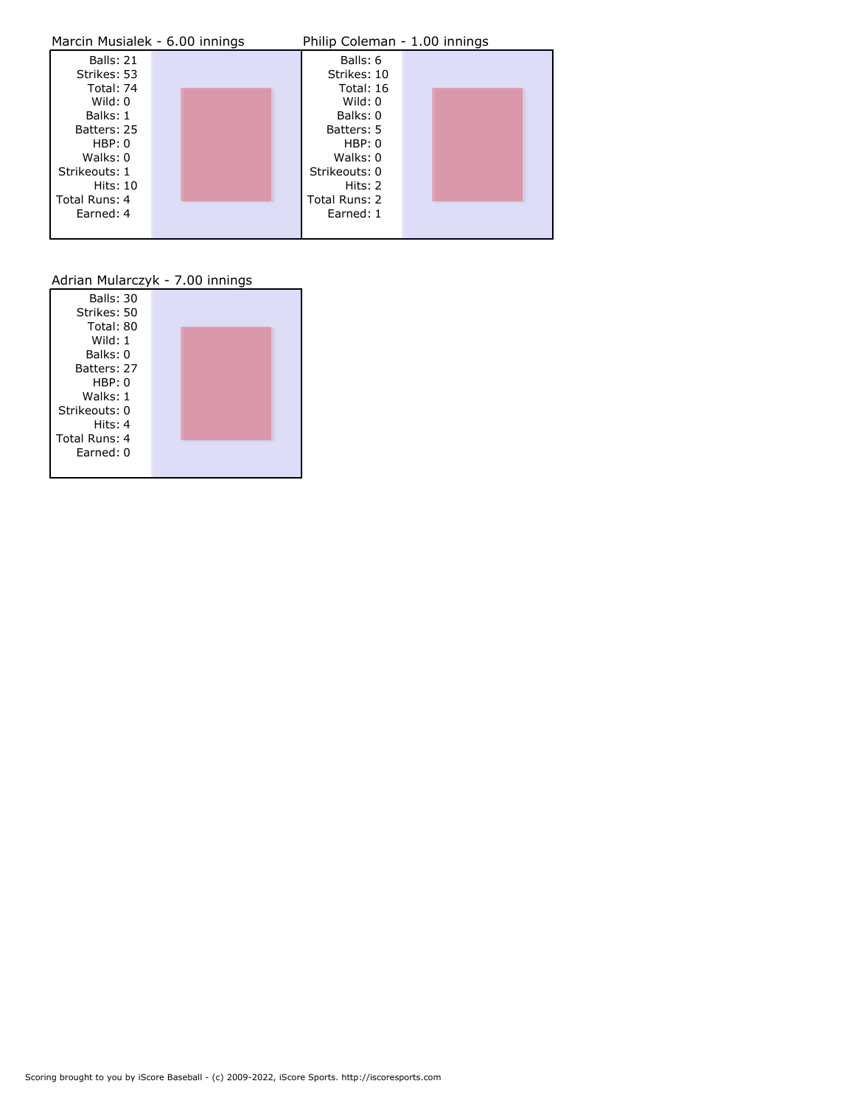| Marcin Musialek - 6.00 innings |  | Philip Coleman - 1.00 innings |               |  |  |  |
|--------------------------------|--|-------------------------------|---------------|--|--|--|
| Balls: 21                      |  |                               | Balls: 6      |  |  |  |
| Strikes: 53                    |  |                               | Strikes: 10   |  |  |  |
| Total: 74                      |  |                               | Total: 16     |  |  |  |
| Wild: $0$                      |  |                               | Wild: $0$     |  |  |  |
| Balks: 1                       |  |                               | Balks: 0      |  |  |  |
| Batters: 25                    |  |                               | Batters: 5    |  |  |  |
| HBP: 0                         |  |                               | HBP: 0        |  |  |  |
| Walks: 0                       |  |                               | Walks: 0      |  |  |  |
| Strikeouts: 1                  |  |                               | Strikeouts: 0 |  |  |  |
| Hits: 10                       |  |                               | Hits: 2       |  |  |  |
| Total Runs: 4                  |  |                               | Total Runs: 2 |  |  |  |
| Earned: 4                      |  |                               | Earned: 1     |  |  |  |
|                                |  |                               |               |  |  |  |

## Adrian Mularczyk - 7.00 innings